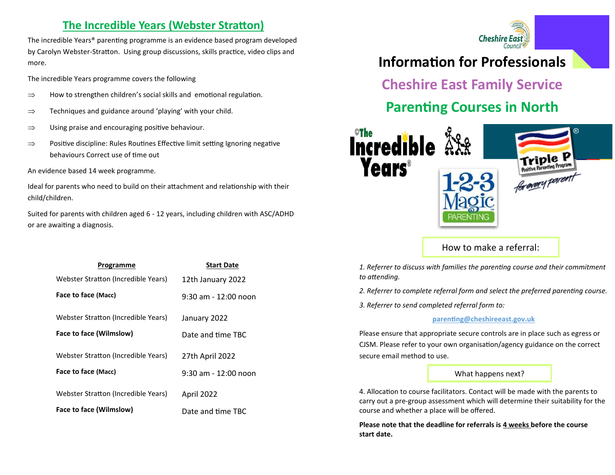### **The Incredible Years (Webster Stratton)**

The incredible Years® parenting programme is an evidence based program developed by Carolyn Webster-Stratton. Using group discussions, skills practice, video clips and more.

The incredible Years programme covers the following

- $\Rightarrow$  How to strengthen children's social skills and emotional regulation.
- $\Rightarrow$  Techniques and guidance around 'playing' with your child.
- $\Rightarrow$  Using praise and encouraging positive behaviour.
- $\Rightarrow$  Positive discipline: Rules Routines Effective limit setting Ignoring negative behaviours Correct use of time out

An evidence based 14 week programme.

Ideal for parents who need to build on their attachment and relationship with their child/children.

Suited for parents with children aged 6 - 12 years, including children with ASC/ADHD or are awaiting a diagnosis.



# **Information for Professionals**

**Cheshire East Family Service**

# **Parenting Courses in North**



How to make a referral:

| Programme                           | <b>Start Date</b>    |
|-------------------------------------|----------------------|
| Webster Stratton (Incredible Years) | 12th January 2022    |
| Face to face (Macc)                 | 9:30 am - 12:00 noon |
| Webster Stratton (Incredible Years) | January 2022         |
| Face to face (Wilmslow)             | Date and time TBC    |
| Webster Stratton (Incredible Years) | 27th April 2022      |
| Face to face (Macc)                 | 9:30 am - 12:00 noon |
| Webster Stratton (Incredible Years) | April 2022           |
| Face to face (Wilmslow)             | Date and time TBC    |

*1. Referrer to discuss with families the parenting course and their commitment to attending.*

*2. Referrer to complete referral form and select the preferred parenting course.*

*3. Referrer to send completed referral form to:*

#### **[parenting@cheshireeast.gov.uk](mailto:Parenting@cheshireeast.gov.uk)**

Please ensure that appropriate secure controls are in place such as egress or CJSM. Please refer to your own organisation/agency guidance on the correct secure email method to use.

#### What happens next?

4. Allocation to course facilitators. Contact will be made with the parents to carry out a pre-group assessment which will determine their suitability for the course and whether a place will be offered.

**Please note that the deadline for referrals is 4 weeks before the course start date.**